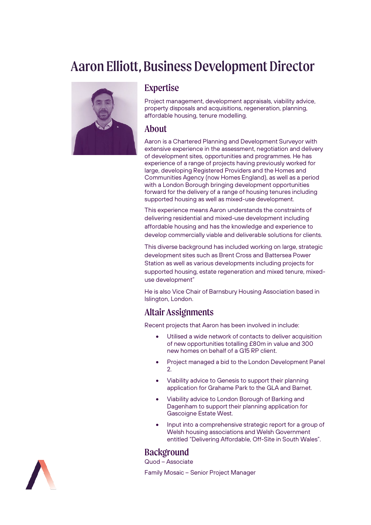# Aaron Elliott, Business Development Director



#### Expertise

Project management, development appraisals, viability advice, property disposals and acquisitions, regeneration, planning, affordable housing, tenure modelling.

#### About

Aaron is a Chartered Planning and Development Surveyor with extensive experience in the assessment, negotiation and delivery of development sites, opportunities and programmes. He has experience of a range of projects having previously worked for large, developing Registered Providers and the Homes and Communities Agency (now Homes England), as well as a period with a London Borough bringing development opportunities forward for the delivery of a range of housing tenures including supported housing as well as mixed-use development.

This experience means Aaron understands the constraints of delivering residential and mixed-use development including affordable housing and has the knowledge and experience to develop commercially viable and deliverable solutions for clients.

This diverse background has included working on large, strategic development sites such as Brent Cross and Battersea Power Station as well as various developments including projects for supported housing, estate regeneration and mixed tenure, mixeduse development"

He is also Vice Chair of Barnsbury Housing Association based in Islington, London.

## Altair Assignments

Recent projects that Aaron has been involved in include:

- Utilised a wide network of contacts to deliver acquisition of new opportunities totalling £80m in value and 300 new homes on behalf of a G15 RP client.
- Project managed a bid to the London Development Panel 2.
- Viability advice to Genesis to support their planning application for Grahame Park to the GLA and Barnet.
- Viability advice to London Borough of Barking and Dagenham to support their planning application for Gascoigne Estate West.
- Input into a comprehensive strategic report for a group of Welsh housing associations and Welsh Government entitled "Delivering Affordable, Off-Site in South Wales".

## **Backgroun[d](https://altairltd.co.uk/our-team)**

Quod – Associate

Family Mosaic – Senior Project Manager